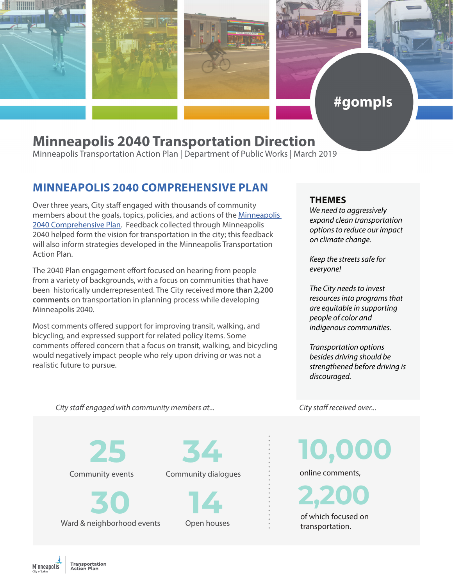



# #gompls

# **Minneapolis 2040 Transportation Direction**

Minneapolis Transportation Action Plan | Department of Public Works | March 2019

### **MINNEAPOLIS 2040 COMPREHENSIVE PLAN**

Over three years, City staff engaged with thousands of community members about the goals, topics, policies, and actions of the Minneapolis [2040 Comprehensive Plan](https://minneapolis2040.com/). Feedback collected through Minneapolis 2040 helped form the vision for transportation in the city; this feedback will also inform strategies developed in the Minneapolis Transportation Action Plan.

The 2040 Plan engagement effort focused on hearing from people from a variety of backgrounds, with a focus on communities that have been historically underrepresented. The City received **more than 2,200 comments** on transportation in planning process while developing Minneapolis 2040.

Most comments offered support for improving transit, walking, and bicycling, and expressed support for related policy items. Some comments offered concern that a focus on transit, walking, and bicycling would negatively impact people who rely upon driving or was not a realistic future to pursue.

#### **THEMES**

*We need to aggressively expand clean transportation options to reduce our impact on climate change.*

*Keep the streets safe for everyone!*

*The City needs to invest resources into programs that are equitable in supporting people of color and indigenous communities.*

*Transportation options besides driving should be strengthened before driving is discouraged.*

*City staff engaged with community members at... City staff received over...*

**25**

Community events

Ward & neighborhood events **30**

Community dialogues

Open houses **14**

**34 10,000 2,200** online comments, of which focused on transportation.

**Minneapolis**